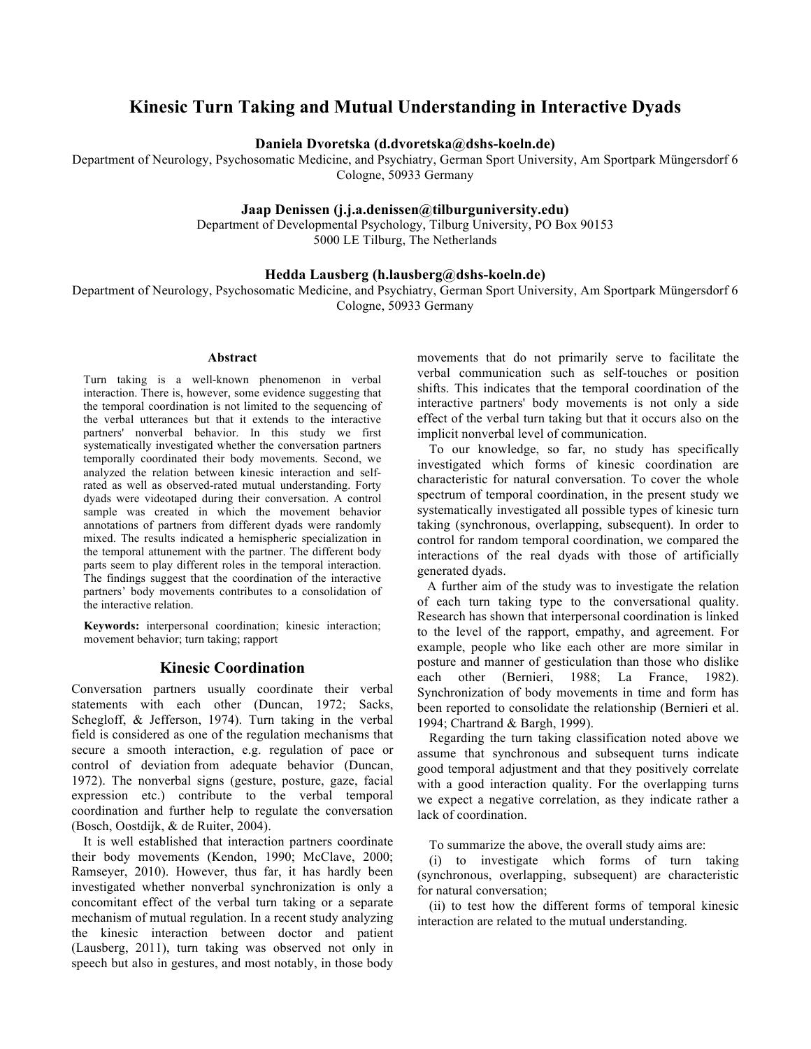# **Kinesic Turn Taking and Mutual Understanding in Interactive Dyads**

**Daniela Dvoretska (d.dvoretska@dshs-koeln.de)**

Department of Neurology, Psychosomatic Medicine, and Psychiatry, German Sport University, Am Sportpark Müngersdorf 6 Cologne, 50933 Germany

#### **Jaap Denissen (j.j.a.denissen@tilburguniversity.edu)**

Department of Developmental Psychology, Tilburg University, PO Box 90153 5000 LE Tilburg, The Netherlands

#### **Hedda Lausberg (h.lausberg@dshs-koeln.de)**

Department of Neurology, Psychosomatic Medicine, and Psychiatry, German Sport University, Am Sportpark Müngersdorf 6 Cologne, 50933 Germany

#### **Abstract**

Turn taking is a well-known phenomenon in verbal interaction. There is, however, some evidence suggesting that the temporal coordination is not limited to the sequencing of the verbal utterances but that it extends to the interactive partners' nonverbal behavior. In this study we first systematically investigated whether the conversation partners temporally coordinated their body movements. Second, we analyzed the relation between kinesic interaction and selfrated as well as observed-rated mutual understanding. Forty dyads were videotaped during their conversation. A control sample was created in which the movement behavior annotations of partners from different dyads were randomly mixed. The results indicated a hemispheric specialization in the temporal attunement with the partner. The different body parts seem to play different roles in the temporal interaction. The findings suggest that the coordination of the interactive partners' body movements contributes to a consolidation of the interactive relation.

**Keywords:** interpersonal coordination; kinesic interaction; movement behavior; turn taking; rapport

#### **Kinesic Coordination**

Conversation partners usually coordinate their verbal statements with each other (Duncan, 1972; Sacks, Schegloff, & Jefferson, 1974). Turn taking in the verbal field is considered as one of the regulation mechanisms that secure a smooth interaction, e.g. regulation of pace or control of deviation from adequate behavior (Duncan, 1972). The nonverbal signs (gesture, posture, gaze, facial expression etc.) contribute to the verbal temporal coordination and further help to regulate the conversation (Bosch, Oostdijk, & de Ruiter, 2004).

It is well established that interaction partners coordinate their body movements (Kendon, 1990; McClave, 2000; Ramseyer, 2010). However, thus far, it has hardly been investigated whether nonverbal synchronization is only a concomitant effect of the verbal turn taking or a separate mechanism of mutual regulation. In a recent study analyzing the kinesic interaction between doctor and patient (Lausberg, 2011), turn taking was observed not only in speech but also in gestures, and most notably, in those body

movements that do not primarily serve to facilitate the verbal communication such as self-touches or position shifts. This indicates that the temporal coordination of the interactive partners' body movements is not only a side effect of the verbal turn taking but that it occurs also on the implicit nonverbal level of communication.

 To our knowledge, so far, no study has specifically investigated which forms of kinesic coordination are characteristic for natural conversation. To cover the whole spectrum of temporal coordination, in the present study we systematically investigated all possible types of kinesic turn taking (synchronous, overlapping, subsequent). In order to control for random temporal coordination, we compared the interactions of the real dyads with those of artificially generated dyads.

 A further aim of the study was to investigate the relation of each turn taking type to the conversational quality. Research has shown that interpersonal coordination is linked to the level of the rapport, empathy, and agreement. For example, people who like each other are more similar in posture and manner of gesticulation than those who dislike each other (Bernieri, 1988; La France, 1982). Synchronization of body movements in time and form has been reported to consolidate the relationship (Bernieri et al. 1994; Chartrand & Bargh, 1999).

Regarding the turn taking classification noted above we assume that synchronous and subsequent turns indicate good temporal adjustment and that they positively correlate with a good interaction quality. For the overlapping turns we expect a negative correlation, as they indicate rather a lack of coordination.

To summarize the above, the overall study aims are:

(i) to investigate which forms of turn taking (synchronous, overlapping, subsequent) are characteristic for natural conversation;

(ii) to test how the different forms of temporal kinesic interaction are related to the mutual understanding.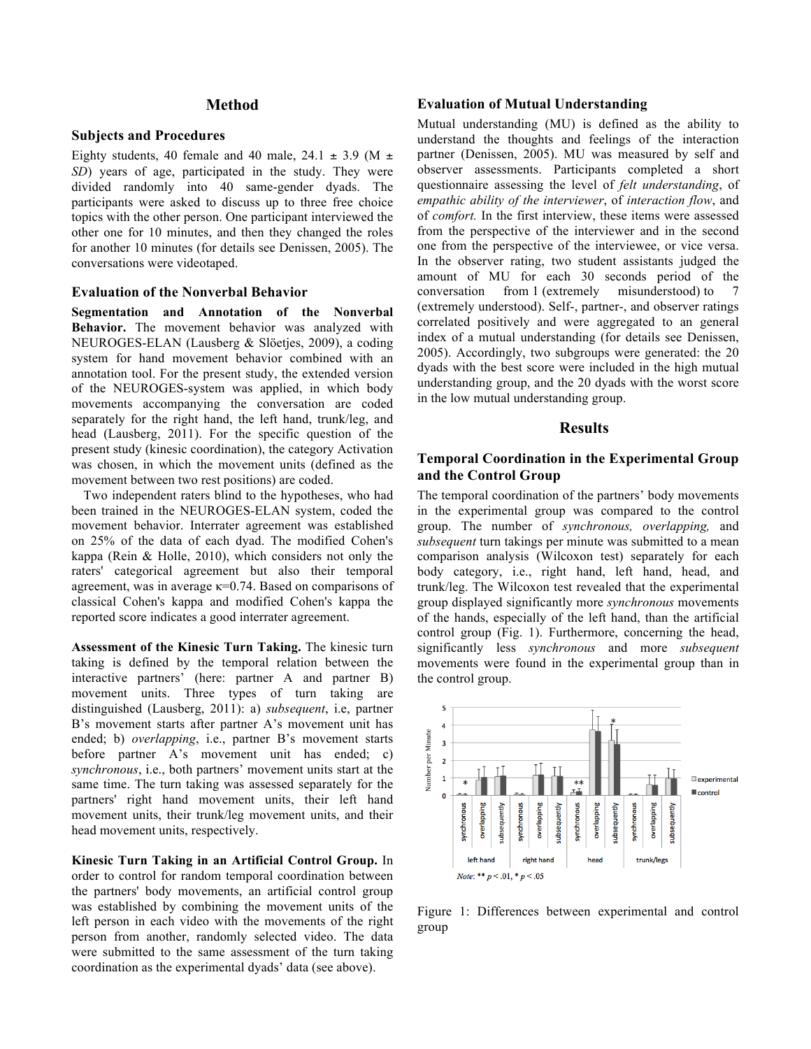#### **Method**

#### **Subjects and Procedures**

Eighty students, 40 female and 40 male, 24.1  $\pm$  3.9 (M  $\pm$ *SD*) years of age, participated in the study. They were divided randomly into 40 same-gender dyads. The participants were asked to discuss up to three free choice topics with the other person. One participant interviewed the other one for 10 minutes, and then they changed the roles for another 10 minutes (for details see Denissen, 2005). The conversations were videotaped.

#### **Evaluation of the Nonverbal Behavior**

**Segmentation and Annotation of the Nonverbal Behavior.** The movement behavior was analyzed with NEUROGES-ELAN (Lausberg & Slöetjes, 2009), a coding system for hand movement behavior combined with an annotation tool. For the present study, the extended version of the NEUROGES-system was applied, in which body movements accompanying the conversation are coded separately for the right hand, the left hand, trunk/leg, and head (Lausberg, 2011). For the specific question of the present study (kinesic coordination), the category Activation was chosen, in which the movement units (defined as the movement between two rest positions) are coded.

Two independent raters blind to the hypotheses, who had been trained in the NEUROGES-ELAN system, coded the movement behavior. Interrater agreement was established on 25% of the data of each dyad. The modified Cohen's kappa (Rein & Holle, 2010), which considers not only the raters' categorical agreement but also their temporal agreement, was in average  $\kappa$ =0.74. Based on comparisons of classical Cohen's kappa and modified Cohen's kappa the reported score indicates a good interrater agreement.

**Assessment of the Kinesic Turn Taking.** The kinesic turn taking is defined by the temporal relation between the interactive partners' (here: partner A and partner B) movement units. Three types of turn taking are distinguished (Lausberg, 2011): a) *subsequent*, i.e, partner B's movement starts after partner A's movement unit has ended; b) *overlapping*, i.e., partner B's movement starts before partner A's movement unit has ended; c) *synchronous*, i.e., both partners' movement units start at the same time. The turn taking was assessed separately for the partners' right hand movement units, their left hand movement units, their trunk/leg movement units, and their head movement units, respectively.

**Kinesic Turn Taking in an Artificial Control Group.** In order to control for random temporal coordination between the partners' body movements, an artificial control group was established by combining the movement units of the left person in each video with the movements of the right person from another, randomly selected video. The data were submitted to the same assessment of the turn taking coordination as the experimental dyads' data (see above).

### **Evaluation of Mutual Understanding**

Mutual understanding (MU) is defined as the ability to understand the thoughts and feelings of the interaction partner (Denissen, 2005). MU was measured by self and observer assessments. Participants completed a short questionnaire assessing the level of *felt understanding*, of *empathic ability of the interviewer*, of *interaction flow*, and of *comfort.* In the first interview, these items were assessed from the perspective of the interviewer and in the second one from the perspective of the interviewee, or vice versa. In the observer rating, two student assistants judged the amount of MU for each 30 seconds period of the conversation from 1 (extremely misunderstood) to 7 (extremely understood). Self-, partner-, and observer ratings correlated positively and were aggregated to an general index of a mutual understanding (for details see Denissen, 2005). Accordingly, two subgroups were generated: the 20 dyads with the best score were included in the high mutual understanding group, and the 20 dyads with the worst score in the low mutual understanding group.

#### **Results**

### **Temporal Coordination in the Experimental Group and the Control Group**

The temporal coordination of the partners' body movements in the experimental group was compared to the control group. The number of *synchronous, overlapping,* and *subsequent* turn takings per minute was submitted to a mean comparison analysis (Wilcoxon test) separately for each body category, i.e., right hand, left hand, head, and trunk/leg. The Wilcoxon test revealed that the experimental group displayed significantly more *synchronous* movements of the hands, especially of the left hand, than the artificial control group (Fig. 1). Furthermore, concerning the head, significantly less *synchronous* and more *subsequent*  movements were found in the experimental group than in the control group.



Figure 1: Differences between experimental and control group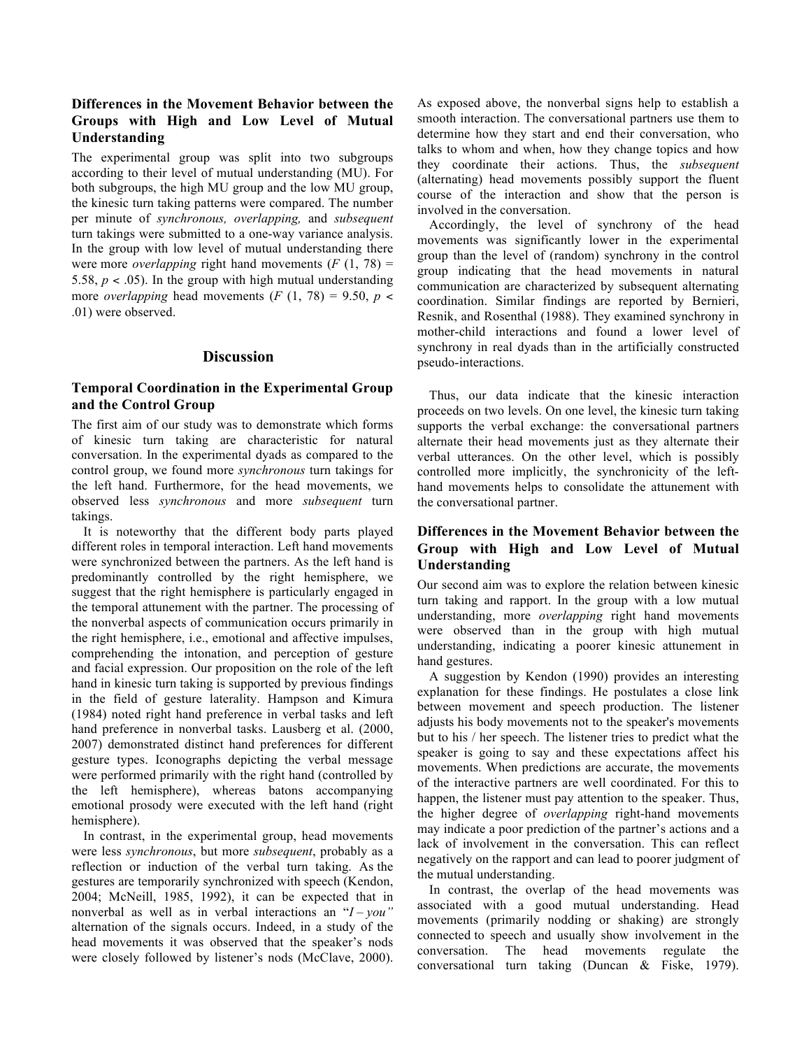## **Differences in the Movement Behavior between the Groups with High and Low Level of Mutual Understanding**

The experimental group was split into two subgroups according to their level of mutual understanding (MU). For both subgroups, the high MU group and the low MU group, the kinesic turn taking patterns were compared. The number per minute of *synchronous, overlapping,* and *subsequent* turn takings were submitted to a one-way variance analysis. In the group with low level of mutual understanding there were more *overlapping* right hand movements  $(F(1, 78))$  = 5.58,  $p < .05$ ). In the group with high mutual understanding more *overlapping* head movements  $(F (1, 78) = 9.50, p <$ .01) were observed.

### **Discussion**

## **Temporal Coordination in the Experimental Group and the Control Group**

The first aim of our study was to demonstrate which forms of kinesic turn taking are characteristic for natural conversation. In the experimental dyads as compared to the control group, we found more *synchronous* turn takings for the left hand. Furthermore, for the head movements, we observed less *synchronous* and more *subsequent* turn takings.

It is noteworthy that the different body parts played different roles in temporal interaction. Left hand movements were synchronized between the partners. As the left hand is predominantly controlled by the right hemisphere, we suggest that the right hemisphere is particularly engaged in the temporal attunement with the partner. The processing of the nonverbal aspects of communication occurs primarily in the right hemisphere, i.e., emotional and affective impulses, comprehending the intonation, and perception of gesture and facial expression. Our proposition on the role of the left hand in kinesic turn taking is supported by previous findings in the field of gesture laterality. Hampson and Kimura (1984) noted right hand preference in verbal tasks and left hand preference in nonverbal tasks. Lausberg et al. (2000, 2007) demonstrated distinct hand preferences for different gesture types. Iconographs depicting the verbal message were performed primarily with the right hand (controlled by the left hemisphere), whereas batons accompanying emotional prosody were executed with the left hand (right hemisphere).

In contrast, in the experimental group, head movements were less *synchronous*, but more *subsequent*, probably as a reflection or induction of the verbal turn taking. As the gestures are temporarily synchronized with speech (Kendon, 2004; McNeill, 1985, 1992), it can be expected that in nonverbal as well as in verbal interactions an "*I – you"*  alternation of the signals occurs. Indeed, in a study of the head movements it was observed that the speaker's nods were closely followed by listener's nods (McClave, 2000).

As exposed above, the nonverbal signs help to establish a smooth interaction. The conversational partners use them to determine how they start and end their conversation, who talks to whom and when, how they change topics and how they coordinate their actions. Thus, the *subsequent* (alternating) head movements possibly support the fluent course of the interaction and show that the person is involved in the conversation.

Accordingly, the level of synchrony of the head movements was significantly lower in the experimental group than the level of (random) synchrony in the control group indicating that the head movements in natural communication are characterized by subsequent alternating coordination. Similar findings are reported by Bernieri, Resnik, and Rosenthal (1988). They examined synchrony in mother-child interactions and found a lower level of synchrony in real dyads than in the artificially constructed pseudo-interactions.

Thus, our data indicate that the kinesic interaction proceeds on two levels. On one level, the kinesic turn taking supports the verbal exchange: the conversational partners alternate their head movements just as they alternate their verbal utterances. On the other level, which is possibly controlled more implicitly, the synchronicity of the lefthand movements helps to consolidate the attunement with the conversational partner.

## **Differences in the Movement Behavior between the Group with High and Low Level of Mutual Understanding**

Our second aim was to explore the relation between kinesic turn taking and rapport. In the group with a low mutual understanding, more *overlapping* right hand movements were observed than in the group with high mutual understanding, indicating a poorer kinesic attunement in hand gestures.

A suggestion by Kendon (1990) provides an interesting explanation for these findings. He postulates a close link between movement and speech production. The listener adjusts his body movements not to the speaker's movements but to his / her speech. The listener tries to predict what the speaker is going to say and these expectations affect his movements. When predictions are accurate, the movements of the interactive partners are well coordinated. For this to happen, the listener must pay attention to the speaker. Thus, the higher degree of *overlapping* right-hand movements may indicate a poor prediction of the partner's actions and a lack of involvement in the conversation. This can reflect negatively on the rapport and can lead to poorer judgment of the mutual understanding.

In contrast, the overlap of the head movements was associated with a good mutual understanding. Head movements (primarily nodding or shaking) are strongly connected to speech and usually show involvement in the conversation. The head movements regulate the conversational turn taking (Duncan & Fiske, 1979).